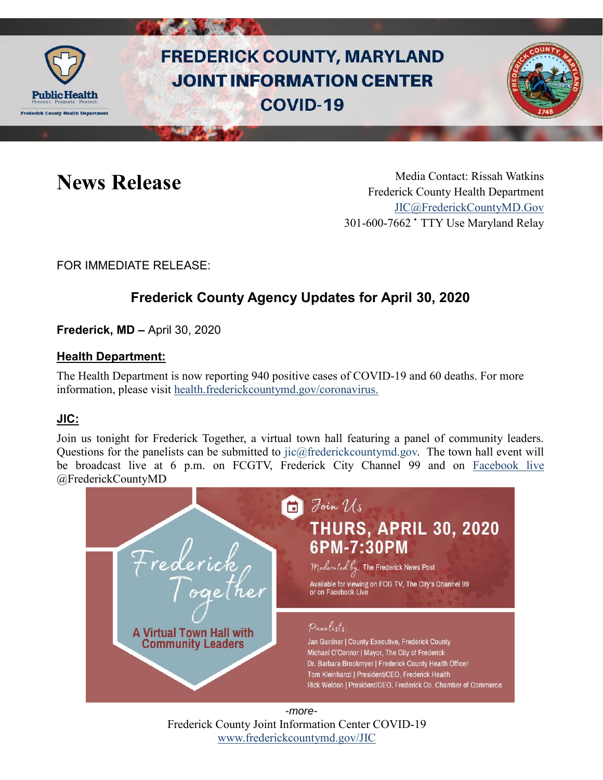

# **FREDERICK COUNTY, MARYLAND JOINT INFORMATION CENTER COVID-19**



News Release Media Contact: Rissah Watkins Frederick County Health Department [JIC@FrederickCountyMD.Gov](mailto:JIC@FrederickCountyMD.Gov) 301-600-7662 • TTY Use Maryland Relay

FOR IMMEDIATE RELEASE:

## **Frederick County Agency Updates for April 30, 2020**

**Frederick, MD –** April 30, 2020

### **Health Department:**

The Health Department is now reporting 940 positive cases of COVID-19 and 60 deaths. For more information, please visit [health.frederickcountymd.gov/coronavirus.](https://health.frederickcountymd.gov/614/Novel-Coronavirus-COVID-19)

### **JIC:**

Join us tonight for Frederick Together, a virtual town hall featuring a panel of community leaders. Questions for the panelists can be submitted to [jic@frederickcountymd.gov.](mailto:jic@frederickcountymd.gov) The town hall event will be broadcast live at 6 p.m. on FCGTV, Frederick City Channel 99 and on [Facebook live](https://www.facebook.com/FrederickCountyMD/) @FrederickCountyMD



Frederick County Joint Information Center COVID-19 [www.frederickcountymd.gov/JIC](https://frederickcountymd.gov/JIC) -*more-*